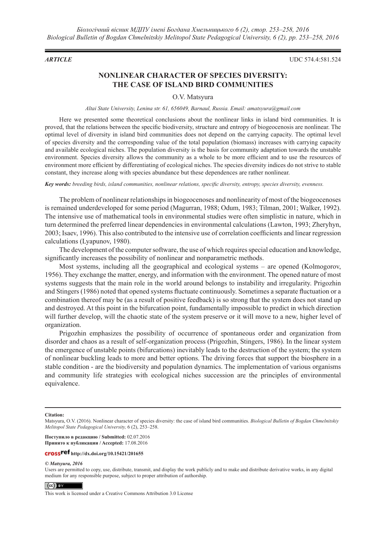*ARTICLE* UDC 574.4:581.524

# **NONLINEAR CHARACTER OF SPECIES DIVERSITY: THE CASE OF ISLAND BIRD COMMUNITIES**

# O.V. Matsyura

# *Altai State University, Lenina str. 61, 656049, Barnaul, Russia. Email: amatsyura@gmail.com*

Here we presented some theoretical conclusions about the nonlinear links in island bird communities. It is proved, that the relations between the specific biodiversity, structure and entropy of biogeocenosis are nonlinear. The optimal level of diversity in island bird communities does not depend on the carrying capacity. The optimal level of species diversity and the corresponding value of the total population (biomass) increases with carrying capacity and available ecological niches. The population diversity is the basis for community adaptation towards the unstable environment. Species diversity allows the community as a whole to be more efficient and to use the resources of environment more efficient by differentiating of ecological niches. The species diversity indices do not strive to stable constant, they increase along with species abundance but these dependences are rather nonlinear.

*Key words: breeding birds, island communities, nonlinear relations, specific diversity, entropy, species diversity, evenness.*

The problem of nonlinear relationships in biogeocenoses and nonlinearity of most of the biogeocenoses is remained underdeveloped for some period (Magurran, 1988; Odum, 1983; Tilman, 2001; Walker, 1992). The intensive use of mathematical tools in environmental studies were often simplistic in nature, which in turn determined the preferred linear dependencies in environmental calculations (Lawton, 1993; Zheryhyn, 2003; Isaev, 1996). This also contributed to the intensive use of correlation coefficients and linear regression calculations (Lyapunov, 1980).

The development of the computer software, the use of which requires special education and knowledge, significantly increases the possibility of nonlinear and nonparametric methods.

Most systems, including all the geographical and ecological systems – are opened (Kolmogorov, 1956). They exchange the matter, energy, and information with the environment. The opened nature of most systems suggests that the main role in the world around belongs to instability and irregularity. Prigozhin and Stingers (1986) noted that opened systems fluctuate continuously. Sometimes a separate fluctuation or a combination thereof may be (as a result of positive feedback) is so strong that the system does not stand up and destroyed. At this point in the bifurcation point, fundamentally impossible to predict in which direction will further develop, will the chaotic state of the system preserve or it will move to a new, higher level of organization.

Prigozhin emphasizes the possibility of occurrence of spontaneous order and organization from disorder and chaos as a result of self-organization process (Prigozhin, Stingers, 1986). In the linear system the emergence of unstable points (bifurcations) inevitably leads to the destruction of the system; the system of nonlinear buckling leads to more and better options. The driving forces that support the biosphere in a stable condition - are the biodiversity and population dynamics. The implementation of various organisms and community life strategies with ecological niches succession are the principles of environmental equivalence.

### **Citation:**

**Поступило в редакцию / Submitted:** 02.07.2016 **Принято к публикации / Accepted:** 17.08.2016

# **http://dx.doi.org/10.15421/201655**

### *© Matsyura, 2016*

Users are permitted to copy, use, distribute, transmit, and display the work publicly and to make and distribute derivative works, in any digital medium for any responsible purpose, subject to proper attribution of authorship.

## $\left($  (cc)  $\right)$  EY

This work is licensed under a Creative Commons Attribution 3.0 License

Matsyura, O.V. (2016). Nonlinear character of species diversity: the case of island bird communities. *Biological Bulletin of Bogdan Chmelnitskiy Melitopol State Pedagogical University,* 6 (2), 253–258.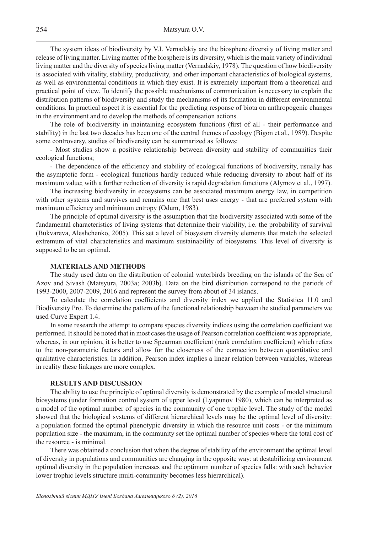The system ideas of biodiversity by V.I. Vernadskiy are the biosphere diversity of living matter and release of living matter. Living matter of the biosphere is its diversity, which is the main variety of individual living matter and the diversity of species living matter (Vernadskiy, 1978). The question of how biodiversity is associated with vitality, stability, productivity, and other important characteristics of biological systems, as well as environmental conditions in which they exist. It is extremely important from a theoretical and practical point of view. To identify the possible mechanisms of communication is necessary to explain the distribution patterns of biodiversity and study the mechanisms of its formation in different environmental conditions. In practical aspect it is essential for the predicting response of biota on anthropogenic changes in the environment and to develop the methods of compensation actions.

The role of biodiversity in maintaining ecosystem functions (first of all - their performance and stability) in the last two decades has been one of the central themes of ecology (Bigon et al., 1989). Despite some controversy, studies of biodiversity can be summarized as follows:

- Most studies show a positive relationship between diversity and stability of communities their ecological functions;

- The dependence of the efficiency and stability of ecological functions of biodiversity, usually has the asymptotic form - ecological functions hardly reduced while reducing diversity to about half of its maximum value; with a further reduction of diversity is rapid degradation functions (Alymov et al., 1997).

The increasing biodiversity in ecosystems can be associated maximum energy law, in competition with other systems and survives and remains one that best uses energy - that are preferred system with maximum efficiency and minimum entropy (Odum, 1983).

The principle of optimal diversity is the assumption that the biodiversity associated with some of the fundamental characteristics of living systems that determine their viability, i.e. the probability of survival (Bukvareva, Aleshchenko, 2005). This set a level of biosystem diversity elements that match the selected extremum of vital characteristics and maximum sustainability of biosystems. This level of diversity is supposed to be an optimal.

# **MATERIALS AND METHODS**

The study used data on the distribution of colonial waterbirds breeding on the islands of the Sea of Azov and Sivash (Matsyura, 2003a; 2003b). Data on the bird distribution correspond to the periods of 1993-2000, 2007-2009, 2016 and represent the survey from about of 34 islands.

To calculate the correlation coefficients and diversity index we applied the Statistica 11.0 and Biodiversity Pro. To determine the pattern of the functional relationship between the studied parameters we used Curve Expert 1.4.

In some research the attempt to compare species diversity indices using the correlation coefficient we performed. It should be noted that in most cases the usage of Pearson correlation coefficient was appropriate, whereas, in our opinion, it is better to use Spearman coefficient (rank correlation coefficient) which refers to the non-parametric factors and allow for the closeness of the connection between quantitative and qualitative characteristics. In addition, Pearson index implies a linear relation between variables, whereas in reality these linkages are more complex.

# **RESULTS AND DISCUSSION**

The ability to use the principle of optimal diversity is demonstrated by the example of model structural biosystems (under formation control system of upper level (Lyapunov 1980), which can be interpreted as a model of the optimal number of species in the community of one trophic level. The study of the model showed that the biological systems of different hierarchical levels may be the optimal level of diversity: a population formed the optimal phenotypic diversity in which the resource unit costs - or the minimum population size - the maximum, in the community set the optimal number of species where the total cost of the resource - is minimal.

There was obtained a conclusion that when the degree of stability of the environment the optimal level of diversity in populations and communities are changing in the opposite way: at destabilizing environment optimal diversity in the population increases and the optimum number of species falls: with such behavior lower trophic levels structure multi-community becomes less hierarchical).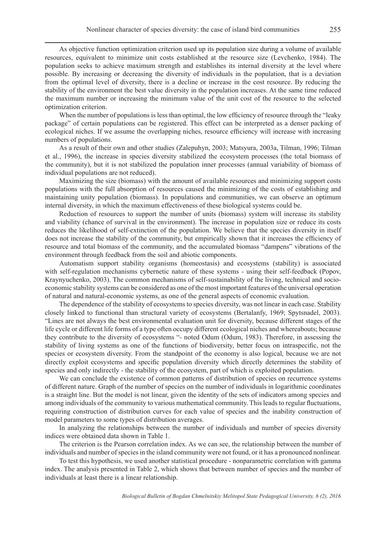As objective function optimization criterion used up its population size during a volume of available resources, equivalent to minimize unit costs established at the resource size (Levchenko, 1984). The population seeks to achieve maximum strength and establishes its internal diversity at the level where possible. By increasing or decreasing the diversity of individuals in the population, that is a deviation from the optimal level of diversity, there is a decline or increase in the cost resource. By reducing the stability of the environment the best value diversity in the population increases. At the same time reduced the maximum number or increasing the minimum value of the unit cost of the resource to the selected optimization criterion.

When the number of populations is less than optimal, the low efficiency of resource through the "leaky" package" of certain populations can be registered. This effect can be interpreted as a denser packing of ecological niches. If we assume the overlapping niches, resource efficiency will increase with increasing numbers of populations.

As a result of their own and other studies (Zalepuhyn, 2003; Matsyura, 2003a, Tilman, 1996; Tilman et al., 1996), the increase in species diversity stabilized the ecosystem processes (the total biomass of the community), but it is not stabilized the population inner processes (annual variability of biomass of individual populations are not reduced).

Maximizing the size (biomass) with the amount of available resources and minimizing support costs populations with the full absorption of resources caused the minimizing of the costs of establishing and maintaining unity population (biomass). In populations and communities, we can observe an optimum internal diversity, in which the maximum effectiveness of these biological systems could be.

Reduction of resources to support the number of units (biomass) system will increase its stability and viability (chance of survival in the environment). The increase in population size or reduce its costs reduces the likelihood of self-extinction of the population. We believe that the species diversity in itself does not increase the stability of the community, but empirically shown that it increases the efficiency of resource and total biomass of the community, and the accumulated biomass "dampens" vibrations of the environment through feedback from the soil and abiotic components.

Automatism support stability organisms (homeostasis) and ecosystems (stability) is associated with self-regulation mechanisms cybernetic nature of these systems - using their self-feedback (Popov, Kraynyuchenko, 2003). The common mechanisms of self-sustainability of the living, technical and socioeconomic stability systems can be considered as one of the most important features of the universal operation of natural and natural-economic systems, as one of the general aspects of economic evaluation.

The dependence of the stability of ecosystems to species diversity, was not linear in each case. Stability closely linked to functional than structural variety of ecosystems (Bertalanfy, 1969; Spytsnadel, 2003). "Lines are not always the best environmental evaluation unit for diversity, because different stages of the life cycle or different life forms of a type often occupy different ecological niches and whereabouts; because they contribute to the diversity of ecosystems "- noted Odum (Odum, 1983). Therefore, in assessing the stability of living systems as one of the functions of biodiversity, better focus on intraspecific, not the species or ecosystem diversity. From the standpoint of the economy is also logical, because we are not directly exploit ecosystems and specific population diversity which directly determines the stability of species and only indirectly - the stability of the ecosystem, part of which is exploited population.

We can conclude the existence of common patterns of distribution of species on recurrence systems of different nature. Graph of the number of species on the number of individuals in logarithmic coordinates is a straight line. But the model is not linear, given the identity of the sets of indicators among species and among individuals of the community to various mathematical community. This leads to regular fluctuations, requiring construction of distribution curves for each value of species and the inability construction of model parameters to some types of distribution averages.

In analyzing the relationships between the number of individuals and number of species diversity indices were obtained data shown in Table 1.

The criterion is the Pearson correlation index. As we can see, the relationship between the number of individuals and number of species in the island community were not found, or it has a pronounced nonlinear.

To test this hypothesis, we used another statistical procedure - nonparametric correlation with gamma index. The analysis presented in Table 2, which shows that between number of species and the number of individuals at least there is a linear relationship.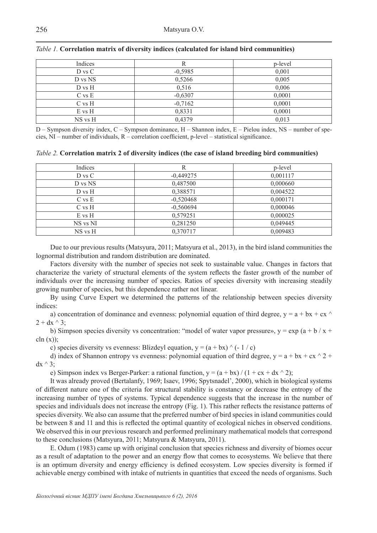| Indices    |           | p-level |
|------------|-----------|---------|
| D vs C     | $-0,5985$ | 0,001   |
| D vs NS    | 0,5266    | 0,005   |
| D vs H     | 0,516     | 0,006   |
| $C$ vs $E$ | $-0,6307$ | 0,0001  |
| $C$ vs $H$ | $-0,7162$ | 0,0001  |
| $E$ vs $H$ | 0,8331    | 0,0001  |
| NS vs H    | 0,4379    | 0,013   |

# *Table 1.* **Correlation matrix of diversity indices (calculated for island bird communities)**

D – Sympson diversity index, C – Sympson dominance, H – Shannon index, E – Pielou index, NS – number of species, NI – number of individuals, R – correlation coefficient, p-level – statistical significance.

| Table 2. Correlation matrix 2 of diversity indices (the case of island breeding bird communities) |  |
|---------------------------------------------------------------------------------------------------|--|
|                                                                                                   |  |

| Indices    | R           | p-level  |
|------------|-------------|----------|
| D vs C     | $-0,449275$ | 0,001117 |
| D vs NS    | 0,487500    | 0,000660 |
| $D$ vs $H$ | 0,388571    | 0,004522 |
| $C$ vs $E$ | $-0,520468$ | 0,000171 |
| $C$ vs $H$ | $-0,560694$ | 0,000046 |
| $E$ vs $H$ | 0,579251    | 0,000025 |
| NS vs NI   | 0,281250    | 0,049445 |
| NS vs H    | 0,370717    | 0,009483 |

Due to our previous results (Matsyura, 2011; Matsyura et al., 2013), in the bird island communities the lognormal distribution and random distribution are dominated.

Factors diversity with the number of species not seek to sustainable value. Changes in factors that characterize the variety of structural elements of the system reflects the faster growth of the number of individuals over the increasing number of species. Ratios of species diversity with increasing steadily growing number of species, but this dependence rather not linear.

By using Curve Expert we determined the patterns of the relationship between species diversity indices:

a) concentration of dominance and evenness: polynomial equation of third degree,  $y = a + bx + cx$  $2 + dx^{\wedge} 3$ ;

b) Simpson species diversity vs concentration: "model of water vapor pressure»,  $y = exp (a + b / x + c)$ cln  $(x)$ ;

c) species diversity vs evenness: Blizdeyl equation,  $y = (a + bx)$   $\wedge$  (-1/c)

d) index of Shannon entropy vs evenness: polynomial equation of third degree,  $y = a + bx + cx^2 +$  $dx^{\wedge} 3$ :

e) Simpson index vs Berger-Parker: a rational function,  $y = (a + bx)/(1 + cx + dx^2)$ ;

It was already proved (Bertalanfy, 1969; Isaev, 1996; Spytsnadel', 2000), which in biological systems of different nature one of the criteria for structural stability is constancy or decrease the entropy of the increasing number of types of systems. Typical dependence suggests that the increase in the number of species and individuals does not increase the entropy (Fig. 1). This rather reflects the resistance patterns of species diversity. We also can assume that the preferred number of bird species in island communities could be between 8 and 11 and this is reflected the optimal quantity of ecological niches in observed conditions. We observed this in our previous research and performed preliminary mathematical models that correspond to these conclusions (Matsyura, 2011; Matsyura & Matsyura, 2011).

E. Odum (1983) came up with original conclusion that species richness and diversity of biomes occur as a result of adaptation to the power and an energy flow that comes to ecosystems. We believe that there is an optimum diversity and energy efficiency is defined ecosystem. Low species diversity is formed if achievable energy combined with intake of nutrients in quantities that exceed the needs of organisms. Such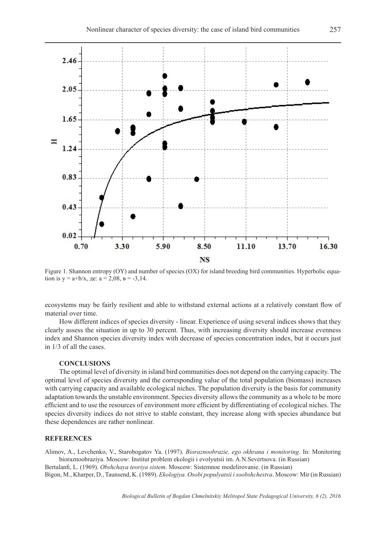

Figure 1. Shannon entropy (OY) and number of species (OX) for island breeding bird communities. Hyperbolic equation is  $y = a+b/x$ , де:  $a = 2,08$ ,  $B = -3,14$ .

ecosystems may be fairly resilient and able to withstand external actions at a relatively constant flow of material over time.

How different indices of species diversity - linear. Experience of using several indices shows that they clearly assess the situation in up to 30 percent. Thus, with increasing diversity should increase evenness index and Shannon species diversity index with decrease of species concentration index, but it occurs just in 1/3 of all the cases.

# **CONCLUSIONS**

The optimal level of diversity in island bird communities does not depend on the carrying capacity. The optimal level of species diversity and the corresponding value of the total population (biomass) increases with carrying capacity and available ecological niches. The population diversity is the basis for community adaptation towards the unstable environment. Species diversity allows the community as a whole to be more efficient and to use the resources of environment more efficient by differentiating of ecological niches. The species diversity indices do not strive to stable constant, they increase along with species abundance but these dependences are rather nonlinear.

# **REFERENCES**

Alimov, A., Levchenko, V., Starobogatov Ya. (1997). *Bioraznoobrazie, ego okhrana i monitoring*. In: Monitoring bioraznoobraziya. Moscow: Institut problem ekologii i evolyutsii im. A.N.Severtsova. (in Russian)

Bertalanfi, L. (1969). *Obshchaya teoriya sistem*. Moscow: Sistemnoe modelirovanie. (in Russian) Bigon, M., Kharper, D., Taunsend, K. (1989). *Ekologiya. Osobi populyatsii i soobshchestva*. Moscow: Mir (in Russian)